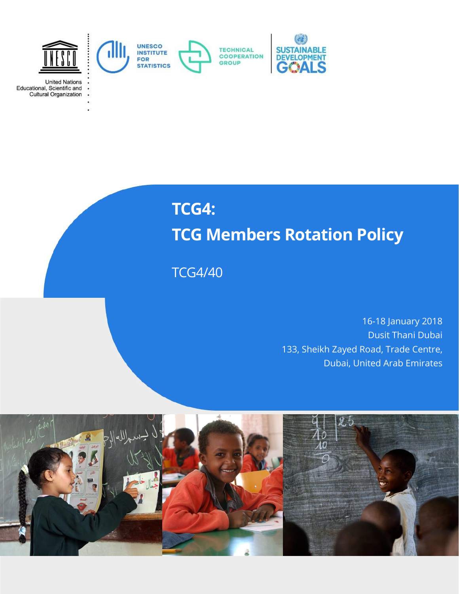

United Nations<br>Educational, Scientific and<br>Cultural Organization



# **TCG4: TCG Members Rotation Policy**

TCG4/40

16-18 January 2018 Dusit Thani Dubai 133, Sheikh Zayed Road, Trade Centre, Dubai, United Arab Emirates

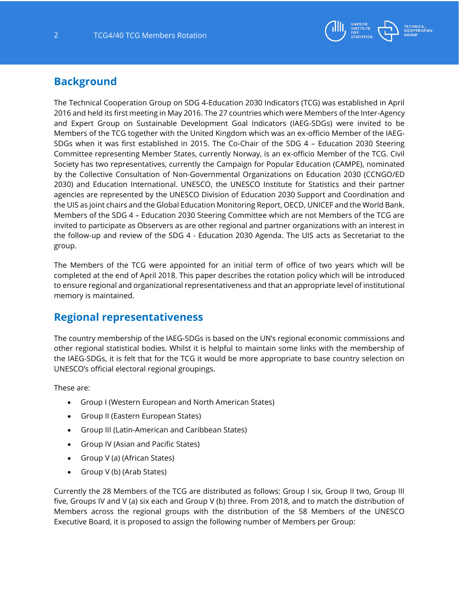

#### **Background**

The Technical Cooperation Group on SDG 4-Education 2030 Indicators (TCG) was established in April 2016 and held its first meeting in May 2016. The 27 countries which were Members of the Inter-Agency and Expert Group on Sustainable Development Goal Indicators (IAEG-SDGs) were invited to be Members of the TCG together with the United Kingdom which was an ex-officio Member of the IAEG-SDGs when it was first established in 2015. The Co-Chair of the SDG 4 – Education 2030 Steering Committee representing Member States, currently Norway, is an ex-officio Member of the TCG. Civil Society has two representatives, currently the Campaign for Popular Education (CAMPE), nominated by the Collective Consultation of Non-Governmental Organizations on Education 2030 (CCNGO/ED 2030) and Education International. UNESCO, the UNESCO Institute for Statistics and their partner agencies are represented by the UNESCO Division of Education 2030 Support and Coordination and the UIS as joint chairs and the Global Education Monitoring Report, OECD, UNICEF and the World Bank. Members of the SDG 4 – Education 2030 Steering Committee which are not Members of the TCG are invited to participate as Observers as are other regional and partner organizations with an interest in the follow-up and review of the SDG 4 - Education 2030 Agenda. The UIS acts as Secretariat to the group.

The Members of the TCG were appointed for an initial term of office of two years which will be completed at the end of April 2018. This paper describes the rotation policy which will be introduced to ensure regional and organizational representativeness and that an appropriate level of institutional memory is maintained.

### **Regional representativeness**

The country membership of the IAEG-SDGs is based on the UN's regional economic commissions and other regional statistical bodies. Whilst it is helpful to maintain some links with the membership of the IAEG-SDGs, it is felt that for the TCG it would be more appropriate to base country selection on UNESCO's official electoral regional groupings.

These are:

- Group I (Western European and North American States)
- Group II (Eastern European States)
- Group III (Latin-American and Caribbean States)
- Group IV (Asian and Pacific States)
- Group V (a) (African States)
- Group V (b) (Arab States)

Currently the 28 Members of the TCG are distributed as follows: Group I six, Group II two, Group III five, Groups IV and V (a) six each and Group V (b) three. From 2018, and to match the distribution of Members across the regional groups with the distribution of the 58 Members of the UNESCO Executive Board, it is proposed to assign the following number of Members per Group: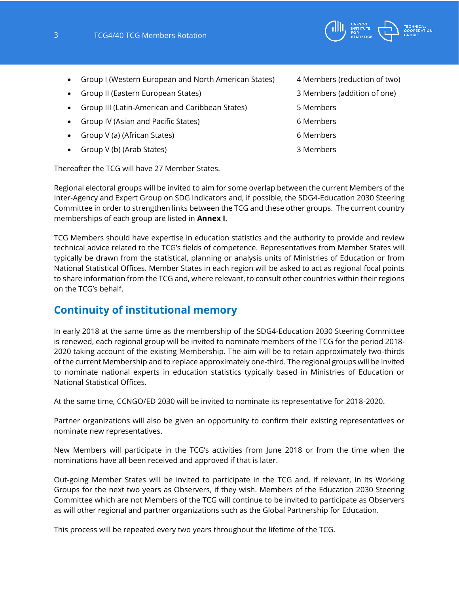

- Group I (Western European and North American States) 4 Members (reduction of two)
- Group II (Eastern European States) 3 Members (addition of one)
- Group III (Latin-American and Caribbean States) 5 Members
- Group IV (Asian and Pacific States) 6 Members
- Group V (a) (African States) 6 Members
- Group V (b) (Arab States) 3 Members

Thereafter the TCG will have 27 Member States.

Regional electoral groups will be invited to aim for some overlap between the current Members of the Inter-Agency and Expert Group on SDG Indicators and, if possible, the SDG4-Education 2030 Steering Committee in order to strengthen links between the TCG and these other groups. The current country memberships of each group are listed in **Annex I**.

TCG Members should have expertise in education statistics and the authority to provide and review technical advice related to the TCG's fields of competence. Representatives from Member States will typically be drawn from the statistical, planning or analysis units of Ministries of Education or from National Statistical Offices. Member States in each region will be asked to act as regional focal points to share information from the TCG and, where relevant, to consult other countries within their regions on the TCG's behalf.

## **Continuity of institutional memory**

In early 2018 at the same time as the membership of the SDG4-Education 2030 Steering Committee is renewed, each regional group will be invited to nominate members of the TCG for the period 2018- 2020 taking account of the existing Membership. The aim will be to retain approximately two-thirds of the current Membership and to replace approximately one-third. The regional groups will be invited to nominate national experts in education statistics typically based in Ministries of Education or National Statistical Offices.

At the same time, CCNGO/ED 2030 will be invited to nominate its representative for 2018-2020.

Partner organizations will also be given an opportunity to confirm their existing representatives or nominate new representatives.

New Members will participate in the TCG's activities from June 2018 or from the time when the nominations have all been received and approved if that is later.

Out-going Member States will be invited to participate in the TCG and, if relevant, in its Working Groups for the next two years as Observers, if they wish. Members of the Education 2030 Steering Committee which are not Members of the TCG will continue to be invited to participate as Observers as will other regional and partner organizations such as the Global Partnership for Education.

This process will be repeated every two years throughout the lifetime of the TCG.

- 
-